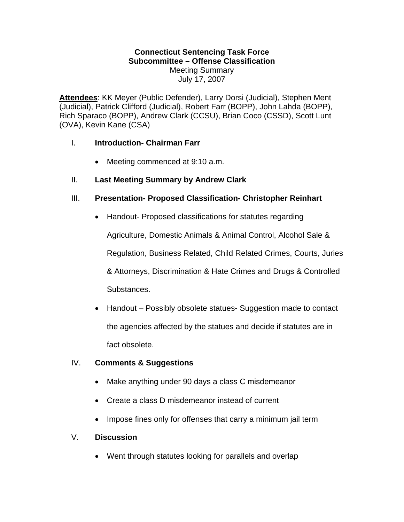#### **Connecticut Sentencing Task Force Subcommittee – Offense Classification**  Meeting Summary July 17, 2007

**Attendees**: KK Meyer (Public Defender), Larry Dorsi (Judicial), Stephen Ment (Judicial), Patrick Clifford (Judicial), Robert Farr (BOPP), John Lahda (BOPP), Rich Sparaco (BOPP), Andrew Clark (CCSU), Brian Coco (CSSD), Scott Lunt (OVA), Kevin Kane (CSA)

# I. **Introduction- Chairman Farr**

• Meeting commenced at 9:10 a.m.

# II. **Last Meeting Summary by Andrew Clark**

# III. **Presentation- Proposed Classification- Christopher Reinhart**

• Handout- Proposed classifications for statutes regarding

Agriculture, Domestic Animals & Animal Control, Alcohol Sale & Regulation, Business Related, Child Related Crimes, Courts, Juries & Attorneys, Discrimination & Hate Crimes and Drugs & Controlled Substances.

• Handout – Possibly obsolete statues- Suggestion made to contact the agencies affected by the statues and decide if statutes are in fact obsolete.

# IV. **Comments & Suggestions**

- Make anything under 90 days a class C misdemeanor
- Create a class D misdemeanor instead of current
- Impose fines only for offenses that carry a minimum jail term

# V. **Discussion**

• Went through statutes looking for parallels and overlap